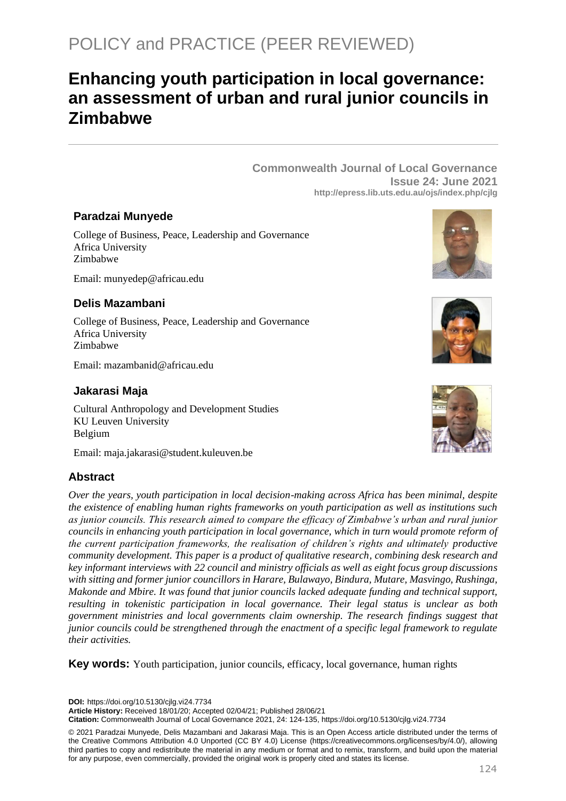# POLICY and PRACTICE (PEER REVIEWED)

## **Enhancing youth participation in local governance: an assessment of urban and rural junior councils in Zimbabwe**

**Commonwealth Journal of Local Governance Issue 24: June 2021 http://epress.lib.uts.edu.au/ojs/index.php/cjlg**

#### **Paradzai Munyede**

College of Business, Peace, Leadership and Governance Africa University Zimbabwe

Email: munyedep@africau.edu

## **Delis Mazambani**

College of Business, Peace, Leadership and Governance Africa University Zimbabwe

Email: mazambanid@africau.edu

#### **Jakarasi Maja**

Cultural Anthropology and Development Studies KU Leuven University Belgium

Email: maja.jakarasi@student.kuleuven.be

## **Abstract**

*Over the years, youth participation in local decision-making across Africa has been minimal, despite the existence of enabling human rights frameworks on youth participation as well as institutions such as junior councils. This research aimed to compare the efficacy of Zimbabwe's urban and rural junior councils in enhancing youth participation in local governance, which in turn would promote reform of the current participation frameworks, the realisation of children's rights and ultimately productive community development. This paper is a product of qualitative research, combining desk research and key informant interviews with 22 council and ministry officials as well as eight focus group discussions with sitting and former junior councillors in Harare, Bulawayo, Bindura, Mutare, Masvingo, Rushinga, Makonde and Mbire. It was found that junior councils lacked adequate funding and technical support, resulting in tokenistic participation in local governance. Their legal status is unclear as both government ministries and local governments claim ownership. The research findings suggest that junior councils could be strengthened through the enactment of a specific legal framework to regulate their activities.*

**Key words:** Youth participation, junior councils, efficacy, local governance, human rights

**DOI:** https://doi.org/10.5130/cjlg.vi24.7734

**Article History:** Received 18/01/20; Accepted 02/04/21; Published 28/06/21

**Citation:** Commonwealth Journal of Local Governance 2021, 24: 124-135, https://doi.org/10.5130/cjlg.vi24.7734

© 2021 Paradzai Munyede, Delis Mazambani and Jakarasi Maja. This is an Open Access article distributed under the terms of the Creative Commons Attribution 4.0 Unported (CC BY 4.0) License [\(https://creativecommons.org/licenses/by/4.0/\)](https://creativecommons.org/licenses/by/4.0/), allowing third parties to copy and redistribute the material in any medium or format and to remix, transform, and build upon the material for any purpose, even commercially, provided the original work is properly cited and states its license.





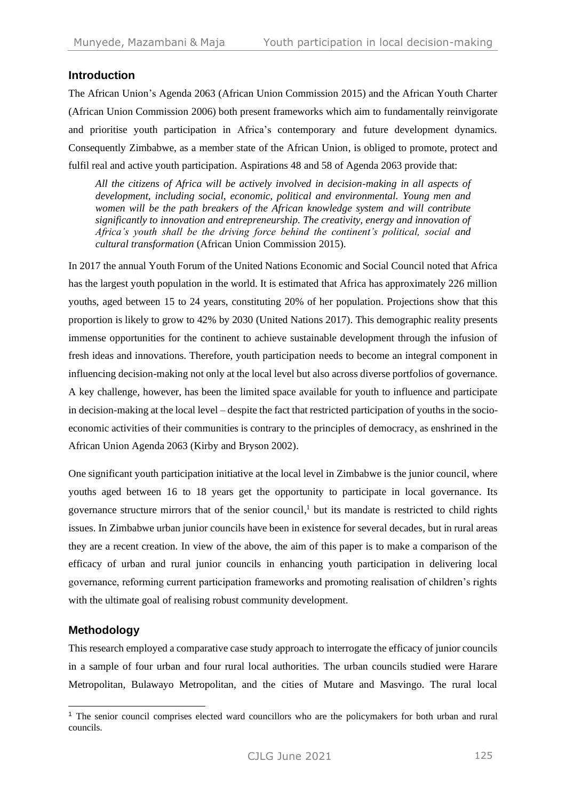### **Introduction**

The African Union's Agenda 2063 (African Union Commission 2015) and the African Youth Charter (African Union Commission 2006) both present frameworks which aim to fundamentally reinvigorate and prioritise youth participation in Africa's contemporary and future development dynamics. Consequently Zimbabwe, as a member state of the African Union, is obliged to promote, protect and fulfil real and active youth participation. Aspirations 48 and 58 of Agenda 2063 provide that:

*All the citizens of Africa will be actively involved in decision-making in all aspects of development, including social, economic, political and environmental. Young men and women will be the path breakers of the African knowledge system and will contribute significantly to innovation and entrepreneurship. The creativity, energy and innovation of Africa's youth shall be the driving force behind the continent's political, social and cultural transformation* (African Union Commission 2015).

In 2017 the annual Youth Forum of the United Nations Economic and Social Council noted that Africa has the largest youth population in the world. It is estimated that Africa has approximately 226 million youths, aged between 15 to 24 years, constituting 20% of her population. Projections show that this proportion is likely to grow to 42% by 2030 (United Nations 2017). This demographic reality presents immense opportunities for the continent to achieve sustainable development through the infusion of fresh ideas and innovations. Therefore, youth participation needs to become an integral component in influencing decision-making not only at the local level but also across diverse portfolios of governance. A key challenge, however, has been the limited space available for youth to influence and participate in decision-making at the local level – despite the fact that restricted participation of youths in the socioeconomic activities of their communities is contrary to the principles of democracy, as enshrined in the African Union Agenda 2063 (Kirby and Bryson 2002).

One significant youth participation initiative at the local level in Zimbabwe is the junior council, where youths aged between 16 to 18 years get the opportunity to participate in local governance. Its governance structure mirrors that of the senior council,<sup>1</sup> but its mandate is restricted to child rights issues. In Zimbabwe urban junior councils have been in existence for several decades, but in rural areas they are a recent creation. In view of the above, the aim of this paper is to make a comparison of the efficacy of urban and rural junior councils in enhancing youth participation in delivering local governance, reforming current participation frameworks and promoting realisation of children's rights with the ultimate goal of realising robust community development.

## **Methodology**

This research employed a comparative case study approach to interrogate the efficacy of junior councils in a sample of four urban and four rural local authorities. The urban councils studied were Harare Metropolitan, Bulawayo Metropolitan, and the cities of Mutare and Masvingo. The rural local

<sup>&</sup>lt;sup>1</sup> The senior council comprises elected ward councillors who are the policymakers for both urban and rural councils.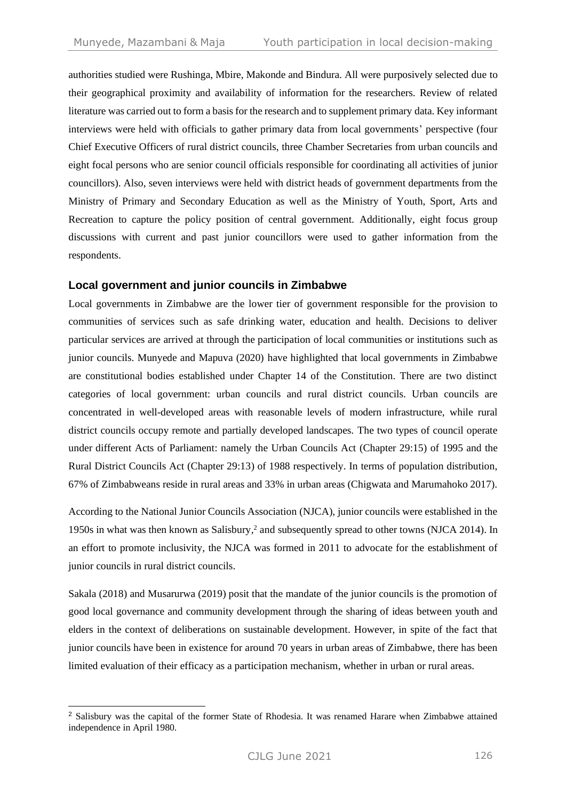authorities studied were Rushinga, Mbire, Makonde and Bindura. All were purposively selected due to their geographical proximity and availability of information for the researchers. Review of related literature was carried out to form a basis for the research and to supplement primary data. Key informant interviews were held with officials to gather primary data from local governments' perspective (four Chief Executive Officers of rural district councils, three Chamber Secretaries from urban councils and eight focal persons who are senior council officials responsible for coordinating all activities of junior councillors). Also, seven interviews were held with district heads of government departments from the Ministry of Primary and Secondary Education as well as the Ministry of Youth, Sport, Arts and Recreation to capture the policy position of central government. Additionally, eight focus group discussions with current and past junior councillors were used to gather information from the respondents.

#### **Local government and junior councils in Zimbabwe**

Local governments in Zimbabwe are the lower tier of government responsible for the provision to communities of services such as safe drinking water, education and health. Decisions to deliver particular services are arrived at through the participation of local communities or institutions such as junior councils. Munyede and Mapuva (2020) have highlighted that local governments in Zimbabwe are constitutional bodies established under Chapter 14 of the Constitution. There are two distinct categories of local government: urban councils and rural district councils. Urban councils are concentrated in well-developed areas with reasonable levels of modern infrastructure, while rural district councils occupy remote and partially developed landscapes. The two types of council operate under different Acts of Parliament: namely the Urban Councils Act (Chapter 29:15) of 1995 and the Rural District Councils Act (Chapter 29:13) of 1988 respectively. In terms of population distribution, 67% of Zimbabweans reside in rural areas and 33% in urban areas (Chigwata and Marumahoko 2017).

According to the National Junior Councils Association (NJCA), junior councils were established in the 1950s in what was then known as Salisbury, <sup>2</sup> and subsequently spread to other towns (NJCA 2014). In an effort to promote inclusivity, the NJCA was formed in 2011 to advocate for the establishment of junior councils in rural district councils.

Sakala (2018) and Musarurwa (2019) posit that the mandate of the junior councils is the promotion of good local governance and community development through the sharing of ideas between youth and elders in the context of deliberations on sustainable development. However, in spite of the fact that junior councils have been in existence for around 70 years in urban areas of Zimbabwe, there has been limited evaluation of their efficacy as a participation mechanism, whether in urban or rural areas.

<sup>2</sup> Salisbury was the capital of the former State of Rhodesia. It was renamed Harare when Zimbabwe attained independence in April 1980.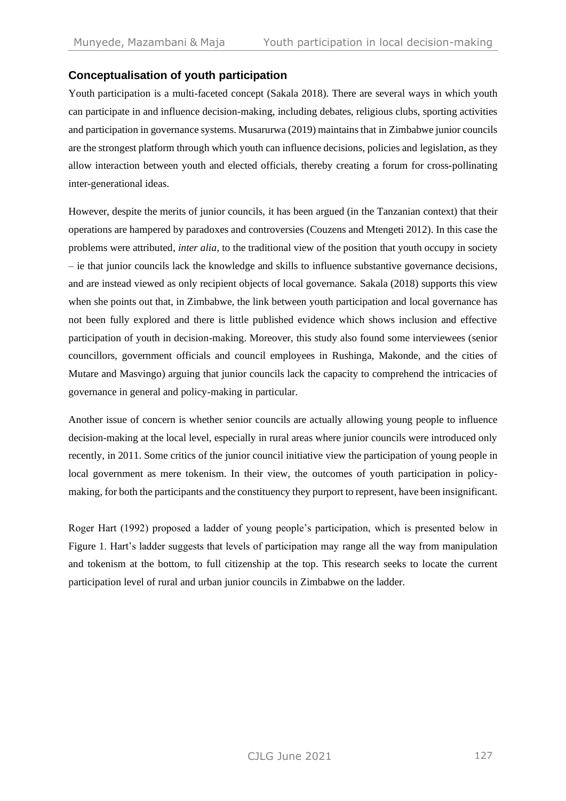## **Conceptualisation of youth participation**

Youth participation is a multi-faceted concept (Sakala 2018). There are several ways in which youth can participate in and influence decision-making, including debates, religious clubs, sporting activities and participation in governance systems. Musarurwa (2019) maintains that in Zimbabwe junior councils are the strongest platform through which youth can influence decisions, policies and legislation, as they allow interaction between youth and elected officials, thereby creating a forum for cross-pollinating inter-generational ideas.

However, despite the merits of junior councils, it has been argued (in the Tanzanian context) that their operations are hampered by paradoxes and controversies (Couzens and Mtengeti 2012). In this case the problems were attributed, *inter alia*, to the traditional view of the position that youth occupy in society – ie that junior councils lack the knowledge and skills to influence substantive governance decisions, and are instead viewed as only recipient objects of local governance. Sakala (2018) supports this view when she points out that, in Zimbabwe, the link between youth participation and local governance has not been fully explored and there is little published evidence which shows inclusion and effective participation of youth in decision-making. Moreover, this study also found some interviewees (senior councillors, government officials and council employees in Rushinga, Makonde, and the cities of Mutare and Masvingo) arguing that junior councils lack the capacity to comprehend the intricacies of governance in general and policy-making in particular.

Another issue of concern is whether senior councils are actually allowing young people to influence decision-making at the local level, especially in rural areas where junior councils were introduced only recently, in 2011. Some critics of the junior council initiative view the participation of young people in local government as mere tokenism. In their view, the outcomes of youth participation in policymaking, for both the participants and the constituency they purport to represent, have been insignificant.

Roger Hart (1992) proposed a ladder of young people's participation, which is presented below in Figure 1. Hart's ladder suggests that levels of participation may range all the way from manipulation and tokenism at the bottom, to full citizenship at the top. This research seeks to locate the current participation level of rural and urban junior councils in Zimbabwe on the ladder.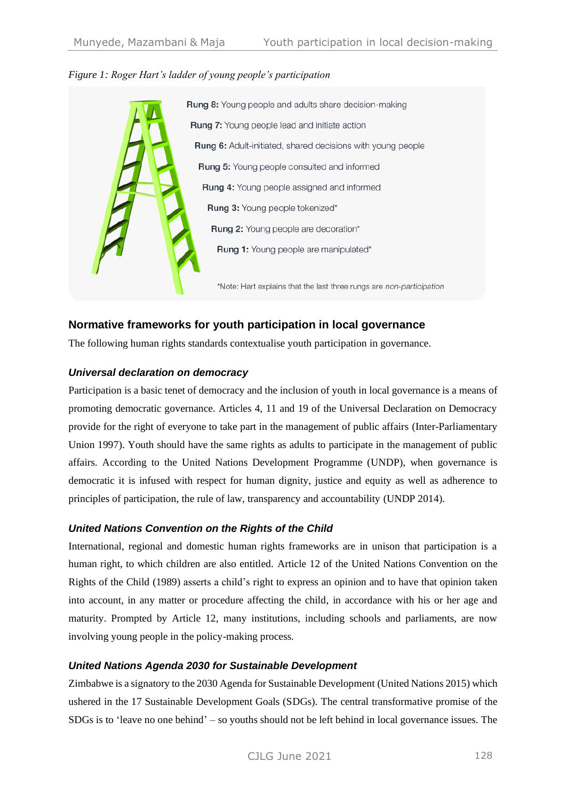



## **Normative frameworks for youth participation in local governance**

The following human rights standards contextualise youth participation in governance.

#### *Universal declaration on democracy*

Participation is a basic tenet of democracy and the inclusion of youth in local governance is a means of promoting democratic governance. Articles 4, 11 and 19 of the Universal Declaration on Democracy provide for the right of everyone to take part in the management of public affairs (Inter-Parliamentary Union 1997). Youth should have the same rights as adults to participate in the management of public affairs. According to the United Nations Development Programme (UNDP), when governance is democratic it is infused with respect for human dignity, justice and equity as well as adherence to principles of participation, the rule of law, transparency and accountability (UNDP 2014).

#### *United Nations Convention on the Rights of the Child*

International, regional and domestic human rights frameworks are in unison that participation is a human right, to which children are also entitled. Article 12 of the United Nations Convention on the Rights of the Child (1989) asserts a child's right to express an opinion and to have that opinion taken into account, in any matter or procedure affecting the child, in accordance with his or her age and maturity. Prompted by Article 12, many institutions, including schools and parliaments, are now involving young people in the policy-making process.

#### *United Nations Agenda 2030 for Sustainable Development*

Zimbabwe is a signatory to the 2030 Agenda for Sustainable Development (United Nations 2015) which ushered in the 17 Sustainable Development Goals (SDGs). The central transformative promise of the SDGs is to 'leave no one behind' – so youths should not be left behind in local governance issues. The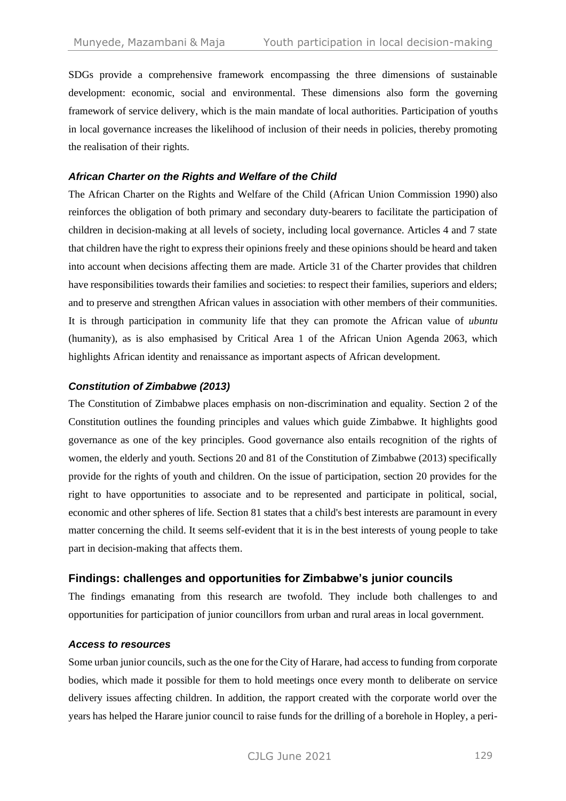SDGs provide a comprehensive framework encompassing the three dimensions of sustainable development: economic, social and environmental. These dimensions also form the governing framework of service delivery, which is the main mandate of local authorities. Participation of youths in local governance increases the likelihood of inclusion of their needs in policies, thereby promoting the realisation of their rights.

#### *African Charter on the Rights and Welfare of the Child*

The African Charter on the Rights and Welfare of the Child (African Union Commission 1990) also reinforces the obligation of both primary and secondary duty-bearers to facilitate the participation of children in decision-making at all levels of society, including local governance. Articles 4 and 7 state that children have the right to express their opinions freely and these opinions should be heard and taken into account when decisions affecting them are made. Article 31 of the Charter provides that children have responsibilities towards their families and societies: to respect their families, superiors and elders; and to preserve and strengthen African values in association with other members of their communities. It is through participation in community life that they can promote the African value of *ubuntu*  (humanity), as is also emphasised by Critical Area 1 of the African Union Agenda 2063, which highlights African identity and renaissance as important aspects of African development.

#### *Constitution of Zimbabwe (2013)*

The Constitution of Zimbabwe places emphasis on non-discrimination and equality. Section 2 of the Constitution outlines the founding principles and values which guide Zimbabwe. It highlights good governance as one of the key principles. Good governance also entails recognition of the rights of women, the elderly and youth. Sections 20 and 81 of the Constitution of Zimbabwe (2013) specifically provide for the rights of youth and children. On the issue of participation, section 20 provides for the right to have opportunities to associate and to be represented and participate in political, social, economic and other spheres of life. Section 81 states that a child's best interests are paramount in every matter concerning the child. It seems self-evident that it is in the best interests of young people to take part in decision-making that affects them.

#### **Findings: challenges and opportunities for Zimbabwe's junior councils**

The findings emanating from this research are twofold. They include both challenges to and opportunities for participation of junior councillors from urban and rural areas in local government.

#### *Access to resources*

Some urban junior councils, such as the one for the City of Harare, had access to funding from corporate bodies, which made it possible for them to hold meetings once every month to deliberate on service delivery issues affecting children. In addition, the rapport created with the corporate world over the years has helped the Harare junior council to raise funds for the drilling of a borehole in Hopley, a peri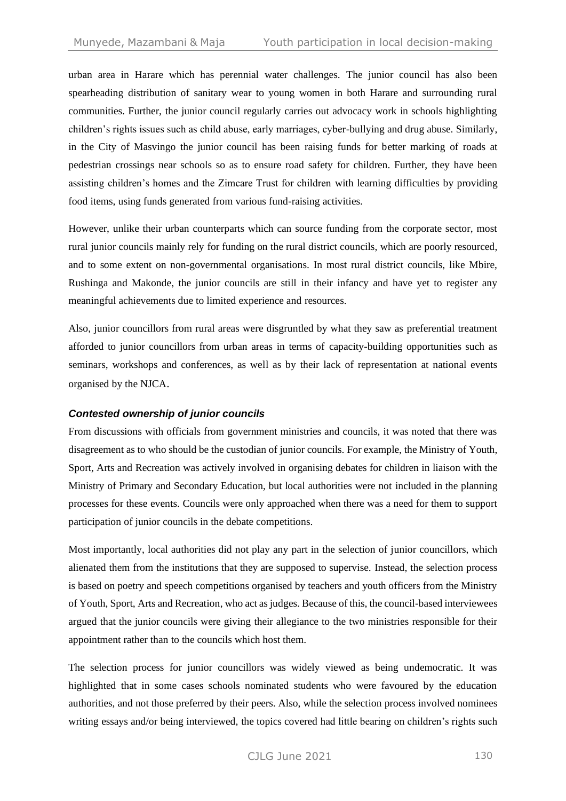urban area in Harare which has perennial water challenges. The junior council has also been spearheading distribution of sanitary wear to young women in both Harare and surrounding rural communities. Further, the junior council regularly carries out advocacy work in schools highlighting children's rights issues such as child abuse, early marriages, cyber-bullying and drug abuse. Similarly, in the City of Masvingo the junior council has been raising funds for better marking of roads at pedestrian crossings near schools so as to ensure road safety for children. Further, they have been assisting children's homes and the Zimcare Trust for children with learning difficulties by providing food items, using funds generated from various fund-raising activities.

However, unlike their urban counterparts which can source funding from the corporate sector, most rural junior councils mainly rely for funding on the rural district councils, which are poorly resourced, and to some extent on non-governmental organisations. In most rural district councils, like Mbire, Rushinga and Makonde, the junior councils are still in their infancy and have yet to register any meaningful achievements due to limited experience and resources.

Also, junior councillors from rural areas were disgruntled by what they saw as preferential treatment afforded to junior councillors from urban areas in terms of capacity-building opportunities such as seminars, workshops and conferences, as well as by their lack of representation at national events organised by the NJCA.

#### *Contested ownership of junior councils*

From discussions with officials from government ministries and councils, it was noted that there was disagreement as to who should be the custodian of junior councils. For example, the Ministry of Youth, Sport, Arts and Recreation was actively involved in organising debates for children in liaison with the Ministry of Primary and Secondary Education, but local authorities were not included in the planning processes for these events. Councils were only approached when there was a need for them to support participation of junior councils in the debate competitions.

Most importantly, local authorities did not play any part in the selection of junior councillors, which alienated them from the institutions that they are supposed to supervise. Instead, the selection process is based on poetry and speech competitions organised by teachers and youth officers from the Ministry of Youth, Sport, Arts and Recreation, who act as judges. Because of this, the council-based interviewees argued that the junior councils were giving their allegiance to the two ministries responsible for their appointment rather than to the councils which host them.

The selection process for junior councillors was widely viewed as being undemocratic. It was highlighted that in some cases schools nominated students who were favoured by the education authorities, and not those preferred by their peers. Also, while the selection process involved nominees writing essays and/or being interviewed, the topics covered had little bearing on children's rights such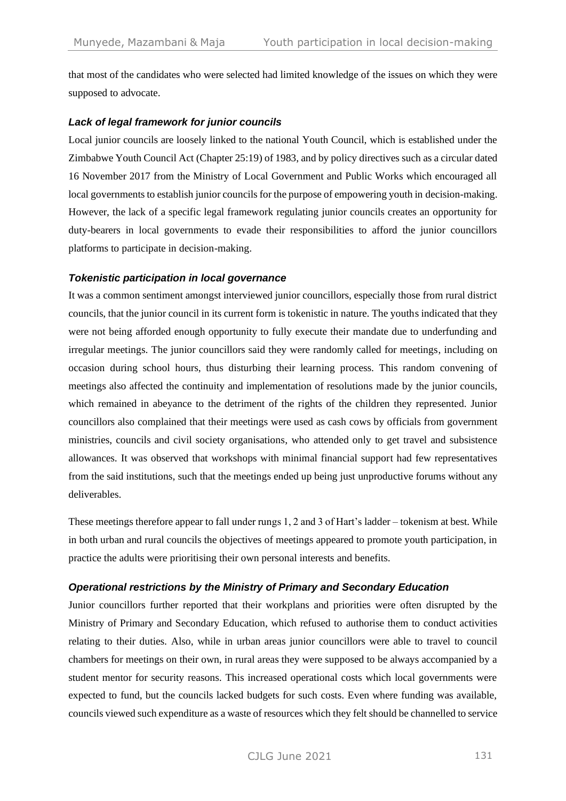that most of the candidates who were selected had limited knowledge of the issues on which they were supposed to advocate.

#### *Lack of legal framework for junior councils*

Local junior councils are loosely linked to the national Youth Council, which is established under the Zimbabwe Youth Council Act (Chapter 25:19) of 1983, and by policy directives such as a circular dated 16 November 2017 from the Ministry of Local Government and Public Works which encouraged all local governments to establish junior councils for the purpose of empowering youth in decision-making. However, the lack of a specific legal framework regulating junior councils creates an opportunity for duty-bearers in local governments to evade their responsibilities to afford the junior councillors platforms to participate in decision-making.

#### *Tokenistic participation in local governance*

It was a common sentiment amongst interviewed junior councillors, especially those from rural district councils, that the junior council in its current form is tokenistic in nature. The youths indicated that they were not being afforded enough opportunity to fully execute their mandate due to underfunding and irregular meetings. The junior councillors said they were randomly called for meetings, including on occasion during school hours, thus disturbing their learning process. This random convening of meetings also affected the continuity and implementation of resolutions made by the junior councils, which remained in abeyance to the detriment of the rights of the children they represented. Junior councillors also complained that their meetings were used as cash cows by officials from government ministries, councils and civil society organisations, who attended only to get travel and subsistence allowances. It was observed that workshops with minimal financial support had few representatives from the said institutions, such that the meetings ended up being just unproductive forums without any deliverables.

These meetings therefore appear to fall under rungs 1, 2 and 3 of Hart's ladder – tokenism at best. While in both urban and rural councils the objectives of meetings appeared to promote youth participation, in practice the adults were prioritising their own personal interests and benefits.

#### *Operational restrictions by the Ministry of Primary and Secondary Education*

Junior councillors further reported that their workplans and priorities were often disrupted by the Ministry of Primary and Secondary Education, which refused to authorise them to conduct activities relating to their duties. Also, while in urban areas junior councillors were able to travel to council chambers for meetings on their own, in rural areas they were supposed to be always accompanied by a student mentor for security reasons. This increased operational costs which local governments were expected to fund, but the councils lacked budgets for such costs. Even where funding was available, councils viewed such expenditure as a waste of resources which they felt should be channelled to service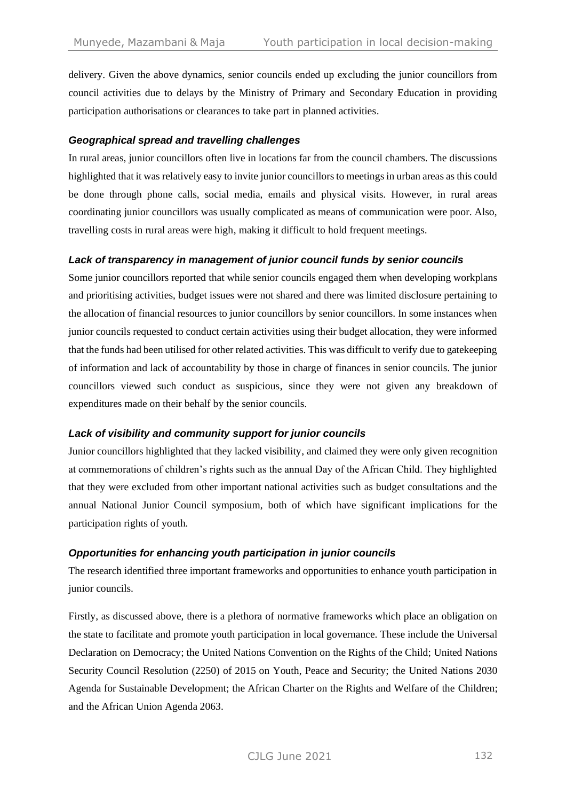delivery. Given the above dynamics, senior councils ended up excluding the junior councillors from council activities due to delays by the Ministry of Primary and Secondary Education in providing participation authorisations or clearances to take part in planned activities.

#### *Geographical spread and travelling challenges*

In rural areas, junior councillors often live in locations far from the council chambers. The discussions highlighted that it was relatively easy to invite junior councillors to meetings in urban areas as this could be done through phone calls, social media, emails and physical visits. However, in rural areas coordinating junior councillors was usually complicated as means of communication were poor. Also, travelling costs in rural areas were high, making it difficult to hold frequent meetings.

#### *Lack of transparency in management of junior council funds by senior councils*

Some junior councillors reported that while senior councils engaged them when developing workplans and prioritising activities, budget issues were not shared and there was limited disclosure pertaining to the allocation of financial resources to junior councillors by senior councillors. In some instances when junior councils requested to conduct certain activities using their budget allocation, they were informed that the funds had been utilised for other related activities. This was difficult to verify due to gatekeeping of information and lack of accountability by those in charge of finances in senior councils. The junior councillors viewed such conduct as suspicious, since they were not given any breakdown of expenditures made on their behalf by the senior councils.

#### *Lack of visibility and community support for junior councils*

Junior councillors highlighted that they lacked visibility, and claimed they were only given recognition at commemorations of children's rights such as the annual Day of the African Child. They highlighted that they were excluded from other important national activities such as budget consultations and the annual National Junior Council symposium, both of which have significant implications for the participation rights of youth.

#### *Opportunities for enhancing youth participation in* **j***unior* **c***ouncils*

The research identified three important frameworks and opportunities to enhance youth participation in junior councils.

Firstly, as discussed above, there is a plethora of normative frameworks which place an obligation on the state to facilitate and promote youth participation in local governance. These include the Universal Declaration on Democracy; the United Nations Convention on the Rights of the Child; United Nations Security Council Resolution (2250) of 2015 on Youth, Peace and Security; the United Nations 2030 Agenda for Sustainable Development; the African Charter on the Rights and Welfare of the Children; and the African Union Agenda 2063.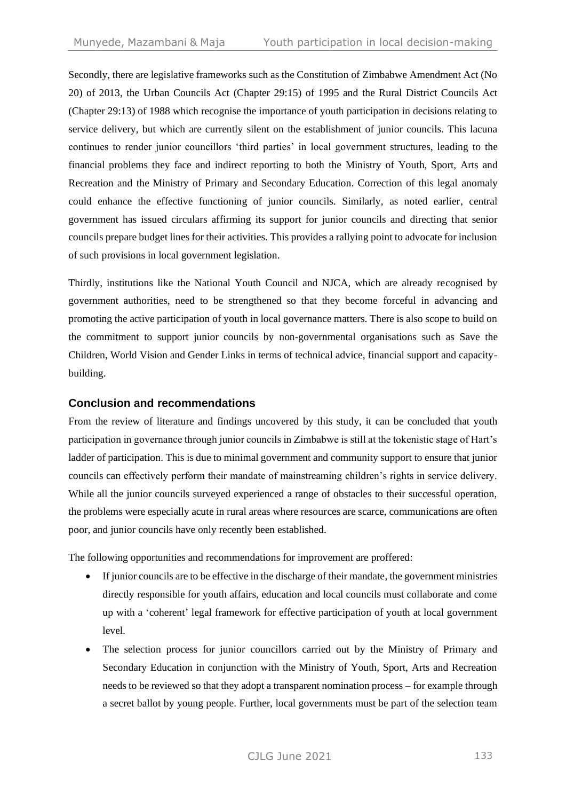Secondly, there are legislative frameworks such as the Constitution of Zimbabwe Amendment Act (No 20) of 2013, the Urban Councils Act (Chapter 29:15) of 1995 and the Rural District Councils Act (Chapter 29:13) of 1988 which recognise the importance of youth participation in decisions relating to service delivery, but which are currently silent on the establishment of junior councils. This lacuna continues to render junior councillors 'third parties' in local government structures, leading to the financial problems they face and indirect reporting to both the Ministry of Youth, Sport, Arts and Recreation and the Ministry of Primary and Secondary Education. Correction of this legal anomaly could enhance the effective functioning of junior councils. Similarly, as noted earlier, central government has issued circulars affirming its support for junior councils and directing that senior councils prepare budget lines for their activities. This provides a rallying point to advocate for inclusion of such provisions in local government legislation.

Thirdly, institutions like the National Youth Council and NJCA, which are already recognised by government authorities, need to be strengthened so that they become forceful in advancing and promoting the active participation of youth in local governance matters. There is also scope to build on the commitment to support junior councils by non-governmental organisations such as Save the Children, World Vision and Gender Links in terms of technical advice, financial support and capacitybuilding.

#### **Conclusion and recommendations**

From the review of literature and findings uncovered by this study, it can be concluded that youth participation in governance through junior councils in Zimbabwe is still at the tokenistic stage of Hart's ladder of participation. This is due to minimal government and community support to ensure that junior councils can effectively perform their mandate of mainstreaming children's rights in service delivery. While all the junior councils surveyed experienced a range of obstacles to their successful operation, the problems were especially acute in rural areas where resources are scarce, communications are often poor, and junior councils have only recently been established.

The following opportunities and recommendations for improvement are proffered:

- If junior councils are to be effective in the discharge of their mandate, the government ministries directly responsible for youth affairs, education and local councils must collaborate and come up with a 'coherent' legal framework for effective participation of youth at local government level.
- The selection process for junior councillors carried out by the Ministry of Primary and Secondary Education in conjunction with the Ministry of Youth, Sport, Arts and Recreation needs to be reviewed so that they adopt a transparent nomination process – for example through a secret ballot by young people. Further, local governments must be part of the selection team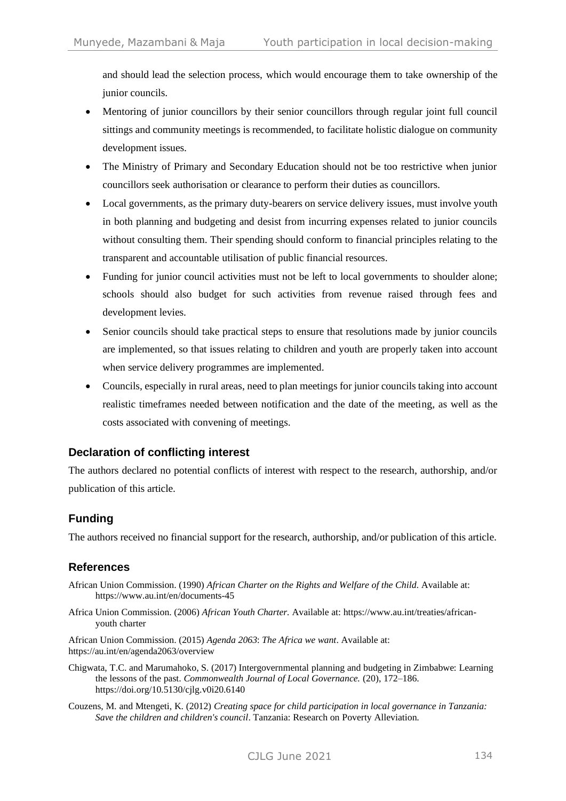and should lead the selection process, which would encourage them to take ownership of the junior councils.

- Mentoring of junior councillors by their senior councillors through regular joint full council sittings and community meetings is recommended, to facilitate holistic dialogue on community development issues.
- The Ministry of Primary and Secondary Education should not be too restrictive when junior councillors seek authorisation or clearance to perform their duties as councillors.
- Local governments, as the primary duty-bearers on service delivery issues, must involve youth in both planning and budgeting and desist from incurring expenses related to junior councils without consulting them. Their spending should conform to financial principles relating to the transparent and accountable utilisation of public financial resources.
- Funding for junior council activities must not be left to local governments to shoulder alone; schools should also budget for such activities from revenue raised through fees and development levies.
- Senior councils should take practical steps to ensure that resolutions made by junior councils are implemented, so that issues relating to children and youth are properly taken into account when service delivery programmes are implemented.
- Councils, especially in rural areas, need to plan meetings for junior councils taking into account realistic timeframes needed between notification and the date of the meeting, as well as the costs associated with convening of meetings.

## **Declaration of conflicting interest**

The authors declared no potential conflicts of interest with respect to the research, authorship, and/or publication of this article.

## **Funding**

The authors received no financial support for the research, authorship, and/or publication of this article.

## **References**

- African Union Commission. (1990) *African Charter on the Rights and Welfare of the Child*. Available at: https://www.au.int/en/documents-45
- Africa Union Commission. (2006) *African Youth Charter.* Available at: https://www.au.int/treaties/africanyouth charter

African Union Commission. (2015) *Agenda 2063*: *The Africa we want*. Available at: <https://au.int/en/agenda2063/overview>

- Chigwata, T.C. and Marumahoko, S. (2017) Intergovernmental planning and budgeting in Zimbabwe: Learning the lessons of the past. *Commonwealth Journal of Local Governance.* (20), 172–186. <https://doi.org/10.5130/cjlg.v0i20.6140>
- Couzens, M. and Mtengeti, K. (2012) *Creating space for child participation in local governance in Tanzania: Save the children and children's council*. Tanzania: Research on Poverty Alleviation.